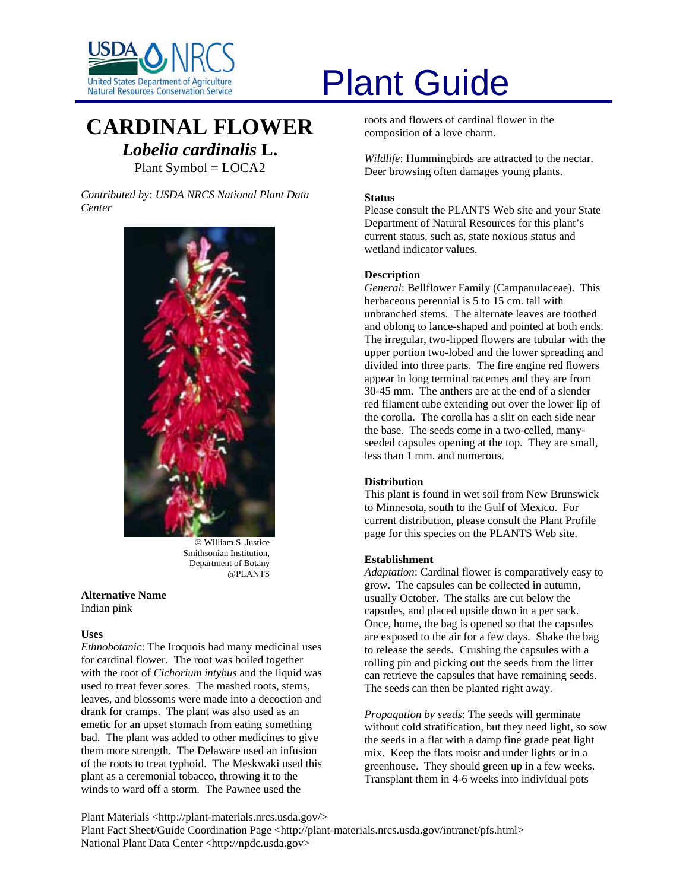

# United States Department of Agriculture<br>Natural Resources Conservation Service

# **CARDINAL FLOWER** *Lobelia cardinalis* **L.** Plant Symbol = LOCA2

*Contributed by: USDA NRCS National Plant Data Center* 



© William S. Justice Smithsonian Institution, Department of Botany @PLANTS

#### **Alternative Name**  Indian pink

# **Uses**

*Ethnobotanic*: The Iroquois had many medicinal uses for cardinal flower. The root was boiled together with the root of *Cichorium intybus* and the liquid was used to treat fever sores. The mashed roots, stems, leaves, and blossoms were made into a decoction and drank for cramps. The plant was also used as an emetic for an upset stomach from eating something bad. The plant was added to other medicines to give them more strength. The Delaware used an infusion of the roots to treat typhoid. The Meskwaki used this plant as a ceremonial tobacco, throwing it to the winds to ward off a storm. The Pawnee used the

roots and flowers of cardinal flower in the composition of a love charm.

*Wildlife*: Hummingbirds are attracted to the nectar. Deer browsing often damages young plants.

# **Status**

Please consult the PLANTS Web site and your State Department of Natural Resources for this plant's current status, such as, state noxious status and wetland indicator values.

# **Description**

*General*: Bellflower Family (Campanulaceae). This herbaceous perennial is 5 to 15 cm. tall with unbranched stems. The alternate leaves are toothed and oblong to lance-shaped and pointed at both ends. The irregular, two-lipped flowers are tubular with the upper portion two-lobed and the lower spreading and divided into three parts. The fire engine red flowers appear in long terminal racemes and they are from 30-45 mm. The anthers are at the end of a slender red filament tube extending out over the lower lip of the corolla. The corolla has a slit on each side near the base. The seeds come in a two-celled, manyseeded capsules opening at the top. They are small, less than 1 mm. and numerous.

# **Distribution**

This plant is found in wet soil from New Brunswick to Minnesota, south to the Gulf of Mexico. For current distribution, please consult the Plant Profile page for this species on the PLANTS Web site.

# **Establishment**

*Adaptation*: Cardinal flower is comparatively easy to grow. The capsules can be collected in autumn, usually October. The stalks are cut below the capsules, and placed upside down in a per sack. Once, home, the bag is opened so that the capsules are exposed to the air for a few days. Shake the bag to release the seeds. Crushing the capsules with a rolling pin and picking out the seeds from the litter can retrieve the capsules that have remaining seeds. The seeds can then be planted right away.

*Propagation by seeds*: The seeds will germinate without cold stratification, but they need light, so sow the seeds in a flat with a damp fine grade peat light mix. Keep the flats moist and under lights or in a greenhouse. They should green up in a few weeks. Transplant them in 4-6 weeks into individual pots

Plant Materials <http://plant-materials.nrcs.usda.gov/> Plant Fact Sheet/Guide Coordination Page <http://plant-materials.nrcs.usda.gov/intranet/pfs.html> National Plant Data Center <http://npdc.usda.gov>